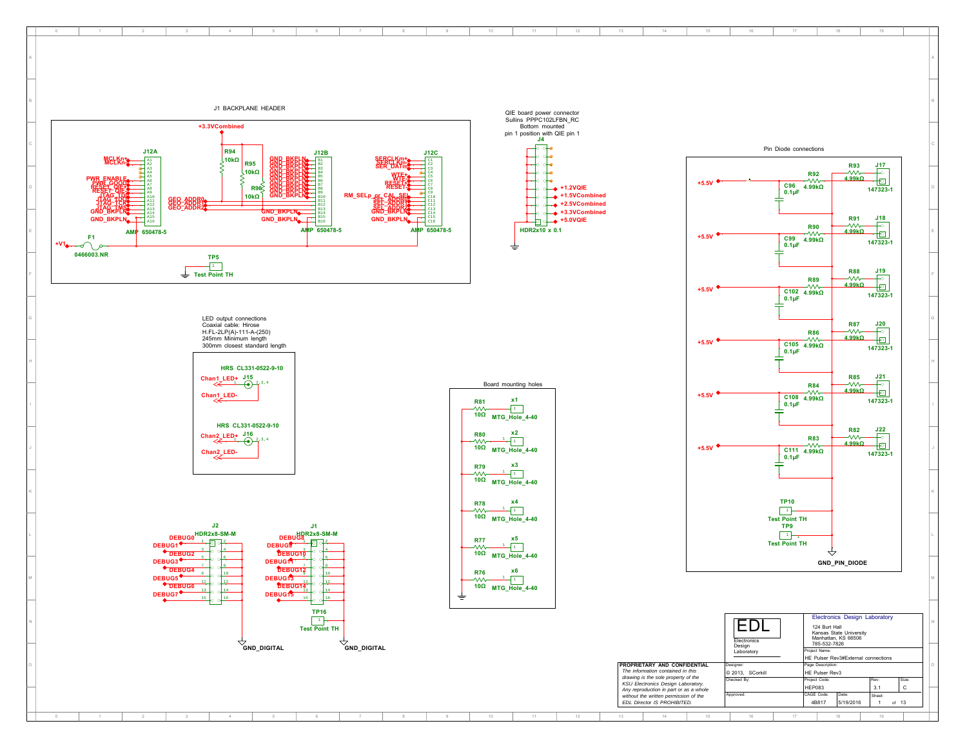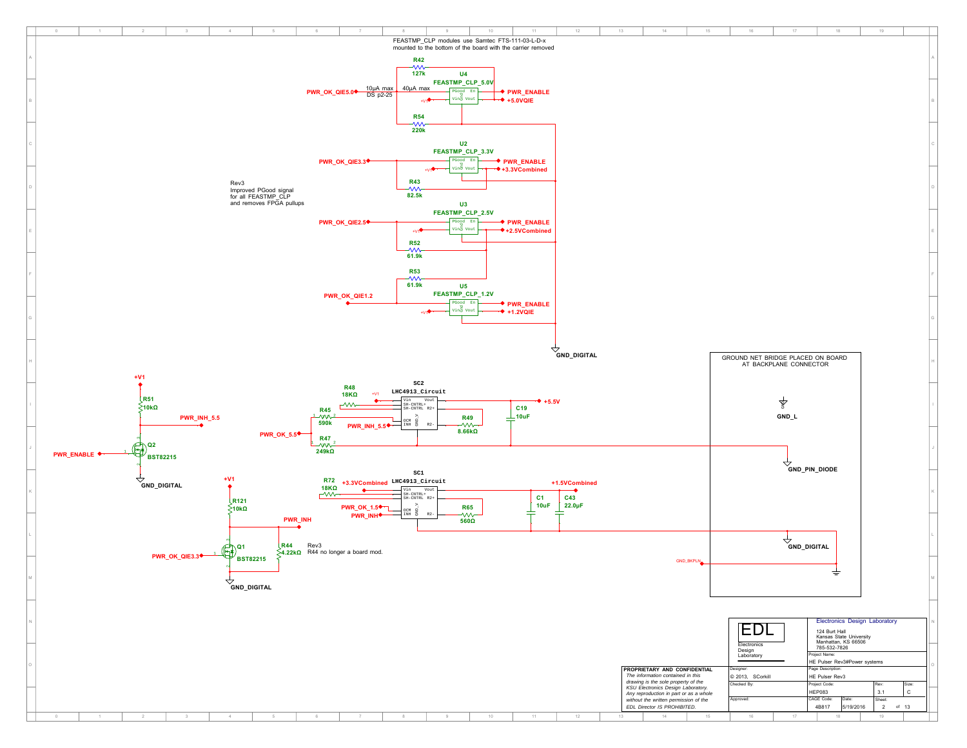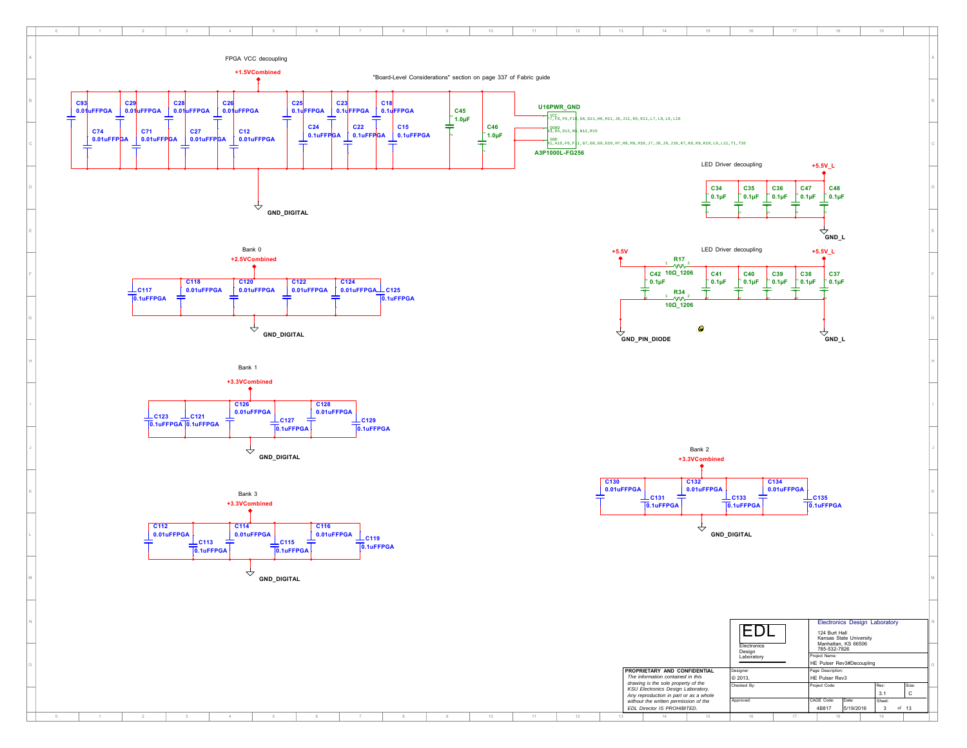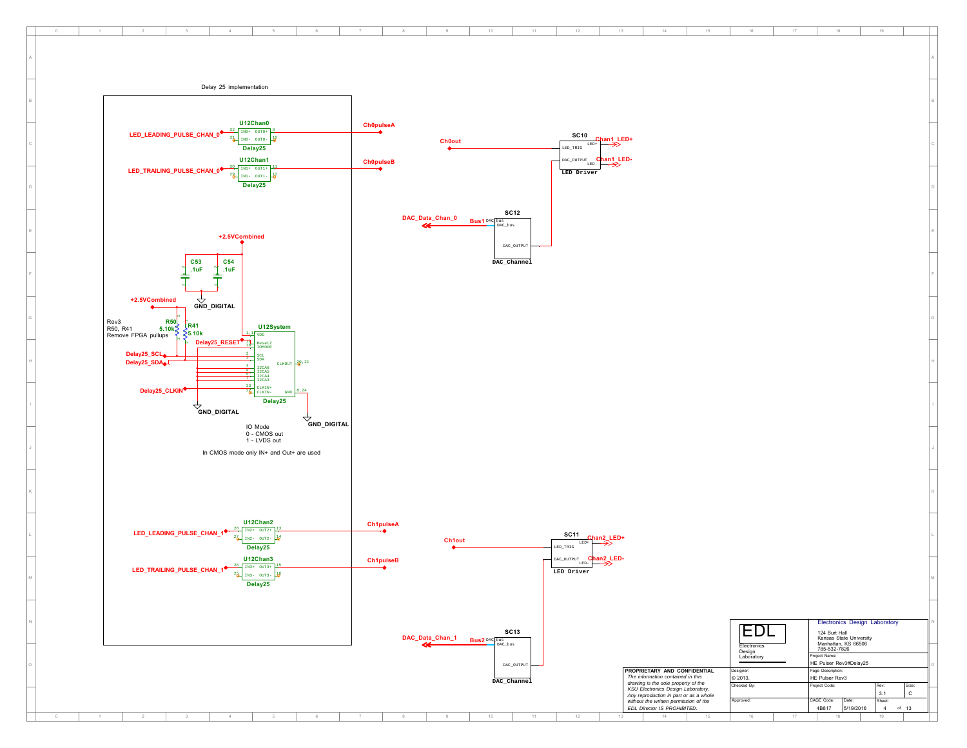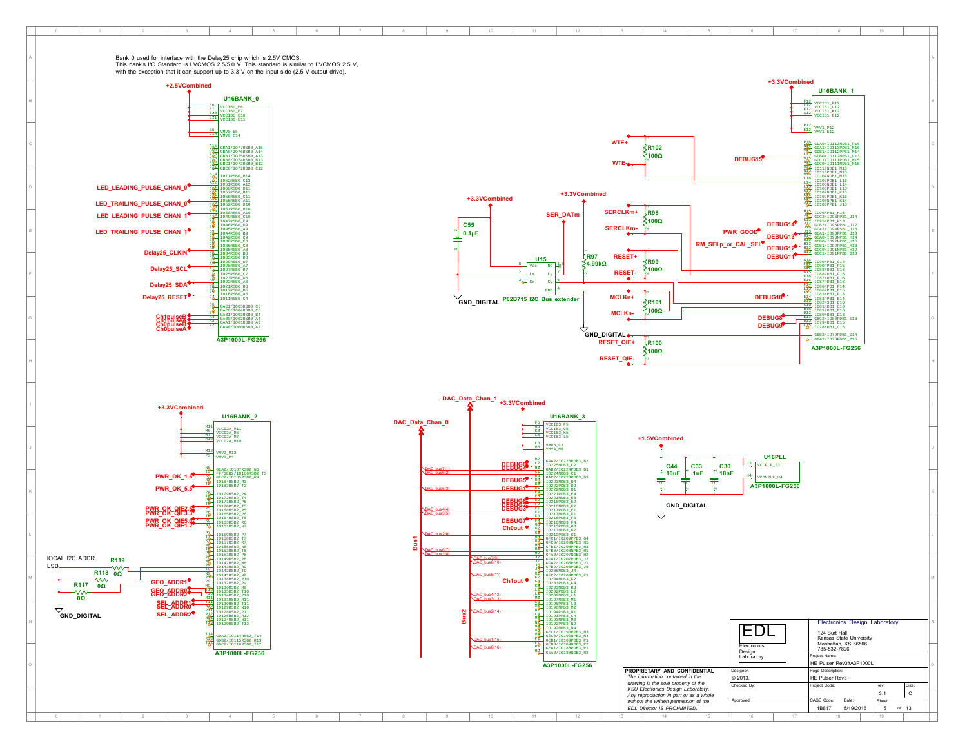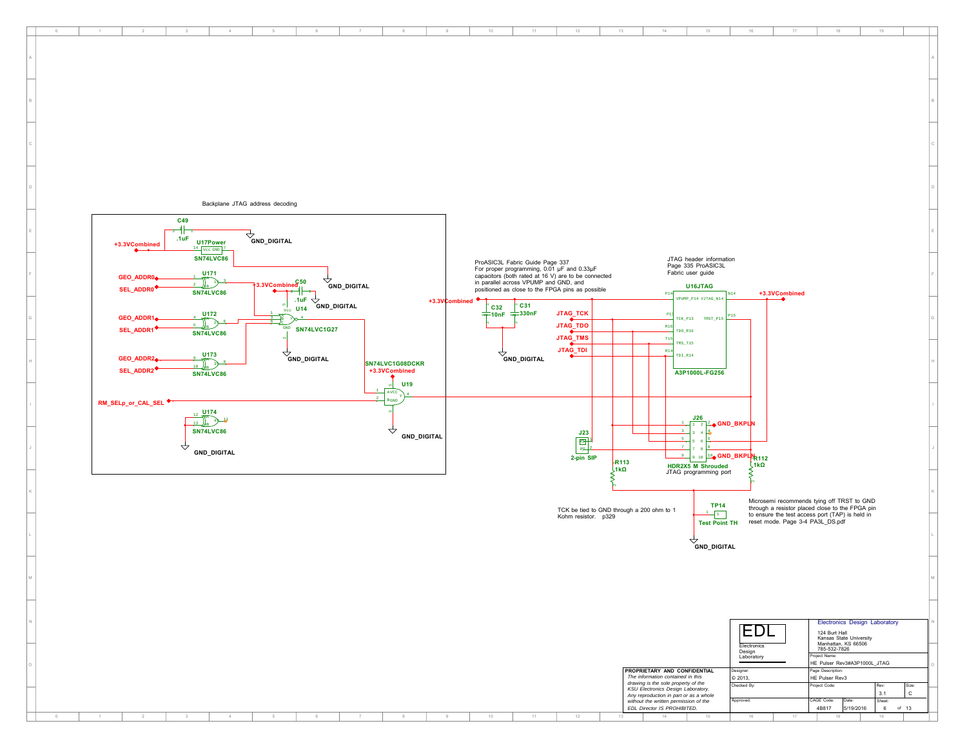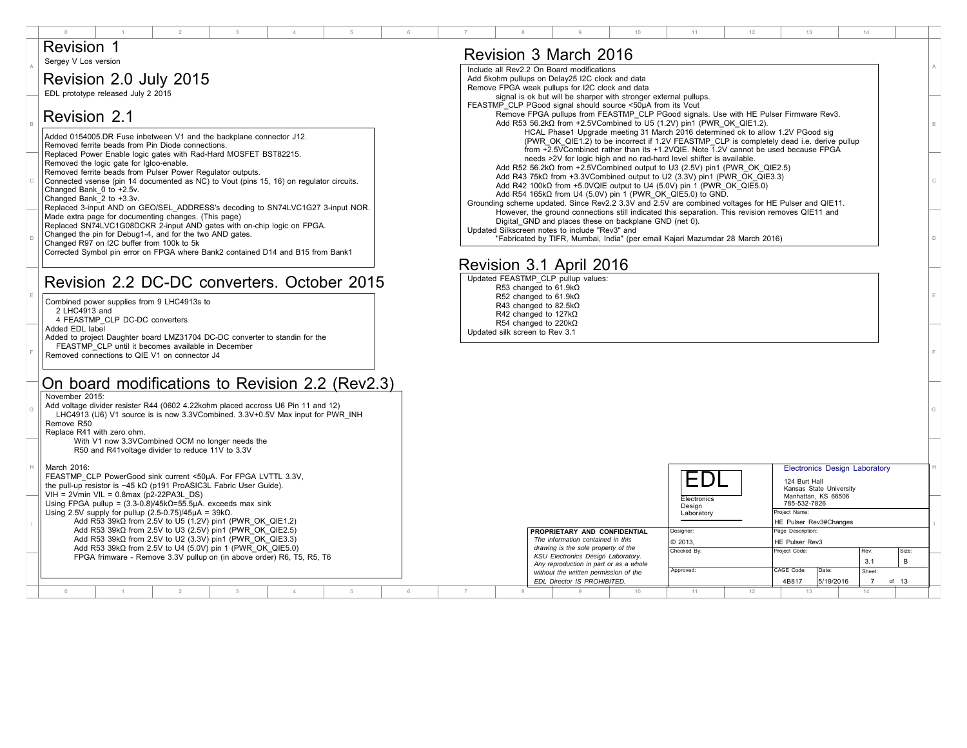|                                                                                                                                                                                                                                                                                                                                                                                                                                                                                           | 11<br>12<br>13<br>14                                                                                                                                                                                                                                                                                                                                                                                                                                                                                                                                                                               |  |  |  |  |  |  |  |  |  |  |  |
|-------------------------------------------------------------------------------------------------------------------------------------------------------------------------------------------------------------------------------------------------------------------------------------------------------------------------------------------------------------------------------------------------------------------------------------------------------------------------------------------|----------------------------------------------------------------------------------------------------------------------------------------------------------------------------------------------------------------------------------------------------------------------------------------------------------------------------------------------------------------------------------------------------------------------------------------------------------------------------------------------------------------------------------------------------------------------------------------------------|--|--|--|--|--|--|--|--|--|--|--|
| <b>Revision 1</b><br>Sergey V Los version                                                                                                                                                                                                                                                                                                                                                                                                                                                 | Revision 3 March 2016                                                                                                                                                                                                                                                                                                                                                                                                                                                                                                                                                                              |  |  |  |  |  |  |  |  |  |  |  |
| Revision 2.0 July 2015                                                                                                                                                                                                                                                                                                                                                                                                                                                                    | Include all Rev2.2 On Board modifications<br>Add 5kohm pullups on Delay25 I2C clock and data<br>Remove FPGA weak pullups for I2C clock and data                                                                                                                                                                                                                                                                                                                                                                                                                                                    |  |  |  |  |  |  |  |  |  |  |  |
| EDL prototype released July 2 2015<br>Revision 2.1                                                                                                                                                                                                                                                                                                                                                                                                                                        | signal is ok but will be sharper with stronger external pullups.<br>FEASTMP CLP PGood signal should source <50µA from its Vout<br>Remove FPGA pullups from FEASTMP CLP PGood signals. Use with HE Pulser Firmware Rev3.                                                                                                                                                                                                                                                                                                                                                                            |  |  |  |  |  |  |  |  |  |  |  |
| Added 0154005.DR Fuse inbetween V1 and the backplane connector J12.<br>Removed ferrite beads from Pin Diode connections.                                                                                                                                                                                                                                                                                                                                                                  | Add R53 56.2k $\Omega$ from +2.5VCombined to U5 (1.2V) pin1 (PWR OK QIE1.2).<br>HCAL Phase1 Upgrade meeting 31 March 2016 determined ok to allow 1.2V PGood sig<br>(PWR OK QIE1.2) to be incorrect if 1.2V FEASTMP CLP is completely dead i.e. derive pullup                                                                                                                                                                                                                                                                                                                                       |  |  |  |  |  |  |  |  |  |  |  |
| Replaced Power Enable logic gates with Rad-Hard MOSFET BST82215.<br>Removed the logic gate for Igloo-enable.<br>Removed ferrite beads from Pulser Power Requlator outputs.<br>Connected vsense (pin 14 documented as NC) to Vout (pins 15, 16) on regulator circuits.<br>Changed Bank 0 to +2.5v.<br>Changed Bank 2 to +3.3v.<br>Replaced 3-input AND on GEO/SEL ADDRESS's decoding to SN74LVC1G27 3-input NOR.                                                                           | from +2.5VCombined rather than its +1.2VQIE. Note 1.2V cannot be used because FPGA<br>needs >2V for logic high and no rad-hard level shifter is available.<br>Add R52 56.2k $\Omega$ from +2.5VCombined output to U3 (2.5V) pin1 (PWR OK QIE2.5)<br>Add R43 75k $\Omega$ from +3.3VCombined output to U2 (3.3V) pin1 (PWR OK QIE3.3)<br>Add R42 100k $\Omega$ from +5.0VQIE output to U4 (5.0V) pin 1 (PWR OK QIE5.0)<br>Add R54 165k $\Omega$ from U4 (5.0V) pin 1 (PWR OK QIE5.0) to GND.<br>Grounding scheme updated. Since Rev2.2 3.3V and 2.5V are combined voltages for HE Pulser and QIE11. |  |  |  |  |  |  |  |  |  |  |  |
| Made extra page for documenting changes. (This page)<br>Replaced SN74LVC1G08DCKR 2-input AND gates with on-chip logic on FPGA.<br>Changed the pin for Debug1-4, and for the two AND gates.<br>Changed R97 on I2C buffer from 100k to 5k<br>Corrected Symbol pin error on FPGA where Bank2 contained D14 and B15 from Bank1                                                                                                                                                                | However, the ground connections still indicated this separation. This revision removes QIE11 and<br>Digital GND and places these on backplane GND (net 0).<br>Updated Silkscreen notes to include "Rev3" and<br>"Fabricated by TIFR, Mumbai, India" (per email Kajari Mazumdar 28 March 2016)                                                                                                                                                                                                                                                                                                      |  |  |  |  |  |  |  |  |  |  |  |
| Revision 3.1 April 2016<br>Updated FEASTMP_CLP pullup values:<br>Revision 2.2 DC-DC converters. October 2015<br>R53 changed to $61.9k\Omega$                                                                                                                                                                                                                                                                                                                                              |                                                                                                                                                                                                                                                                                                                                                                                                                                                                                                                                                                                                    |  |  |  |  |  |  |  |  |  |  |  |
| Combined power supplies from 9 LHC4913s to<br>2 LHC4913 and<br>4 FEASTMP CLP DC-DC converters<br>Added EDL label                                                                                                                                                                                                                                                                                                                                                                          | R52 changed to 61.9k $\Omega$<br>R43 changed to 82.5k $\Omega$<br>R42 changed to $127k\Omega$<br>R54 changed to 220k $\Omega$                                                                                                                                                                                                                                                                                                                                                                                                                                                                      |  |  |  |  |  |  |  |  |  |  |  |
| Added to project Daughter board LMZ31704 DC-DC converter to standin for the<br>FEASTMP CLP until it becomes available in December<br>Removed connections to QIE V1 on connector J4                                                                                                                                                                                                                                                                                                        | Updated silk screen to Rev 3.1                                                                                                                                                                                                                                                                                                                                                                                                                                                                                                                                                                     |  |  |  |  |  |  |  |  |  |  |  |
| On board modifications to Revision 2.2 (Rev2.3)<br>November 2015:<br>Add voltage divider resister R44 (0602 4.22kohm placed accross U6 Pin 11 and 12)<br>LHC4913 (U6) V1 source is is now 3.3VCombined, 3.3V+0.5V Max input for PWR INH<br>Remove R50<br>Replace R41 with zero ohm.                                                                                                                                                                                                       |                                                                                                                                                                                                                                                                                                                                                                                                                                                                                                                                                                                                    |  |  |  |  |  |  |  |  |  |  |  |
| With V1 now 3.3VCombined OCM no longer needs the<br>R50 and R41voltage divider to reduce 11V to 3.3V                                                                                                                                                                                                                                                                                                                                                                                      |                                                                                                                                                                                                                                                                                                                                                                                                                                                                                                                                                                                                    |  |  |  |  |  |  |  |  |  |  |  |
| March 2016:<br>FEASTMP CLP PowerGood sink current <50µA. For FPGA LVTTL 3.3V,<br>the pull-up resistor is $~45$ k $\Omega$ (p191 ProASIC3L Fabric User Guide).<br>$VIH = 2Vmin VIL = 0.8max (p2-22PA3L DS)$<br>Using FPGA pullup = $(3.3-0.8)/45k\Omega = 55.5\mu A$ . exceeds max sink<br>Using 2.5V supply for pullup $(2.5-0.75)/45\mu A = 39k\Omega$ .<br>Add R53 39k $\Omega$ from 2.5V to U5 (1.2V) pin1 (PWR OK QIE1.2)<br>Add R53 39kΩ from 2.5V to U3 (2.5V) pin1 (PWR OK QIE2.5) | <b>Electronics Design Laboratory</b><br>ED<br>124 Burt Hall<br>Kansas State University<br>Manhattan, KS 66506<br>Electronics<br>785-532-7826<br>Design<br>Project Name:<br>Laboratory<br>HE Pulser Rev3#Changes<br>Page Description<br>PROPRIETARY AND CONFIDENTIAL<br>Designer:                                                                                                                                                                                                                                                                                                                   |  |  |  |  |  |  |  |  |  |  |  |
| Add R53 39k $\Omega$ from 2.5V to U2 (3.3V) pin1 (PWR OK QIE3.3)<br>Add R53 39k $\Omega$ from 2.5V to U4 (5.0V) pin 1 (PWR OK QIE5.0)<br>FPGA frimware - Remove 3.3V pullup on (in above order) R6, T5, R5, T6                                                                                                                                                                                                                                                                            | The information contained in this<br>© 2013,<br>HE Pulser Rev3<br>drawing is the sole property of the<br>Checked By<br>Project Code:<br>Rev:<br>Size:<br>KSU Electronics Design Laboratory.<br>3.1<br>B<br>Any reproduction in part or as a whole                                                                                                                                                                                                                                                                                                                                                  |  |  |  |  |  |  |  |  |  |  |  |
|                                                                                                                                                                                                                                                                                                                                                                                                                                                                                           | CAGE Code:<br>Approved:<br>Date:<br>Sheet:<br>without the written permission of the<br>EDL Director IS PROHIBITED.<br>4B817<br>5/19/2016<br>$\overline{7}$<br>of 13                                                                                                                                                                                                                                                                                                                                                                                                                                |  |  |  |  |  |  |  |  |  |  |  |
| 5<br>$6\overline{6}$<br>$\Omega$<br>$\overline{2}$<br>3<br>$\varDelta$                                                                                                                                                                                                                                                                                                                                                                                                                    | $\overline{7}$<br>$10 -$<br>11<br>12<br>13<br>14<br>8<br>Q                                                                                                                                                                                                                                                                                                                                                                                                                                                                                                                                         |  |  |  |  |  |  |  |  |  |  |  |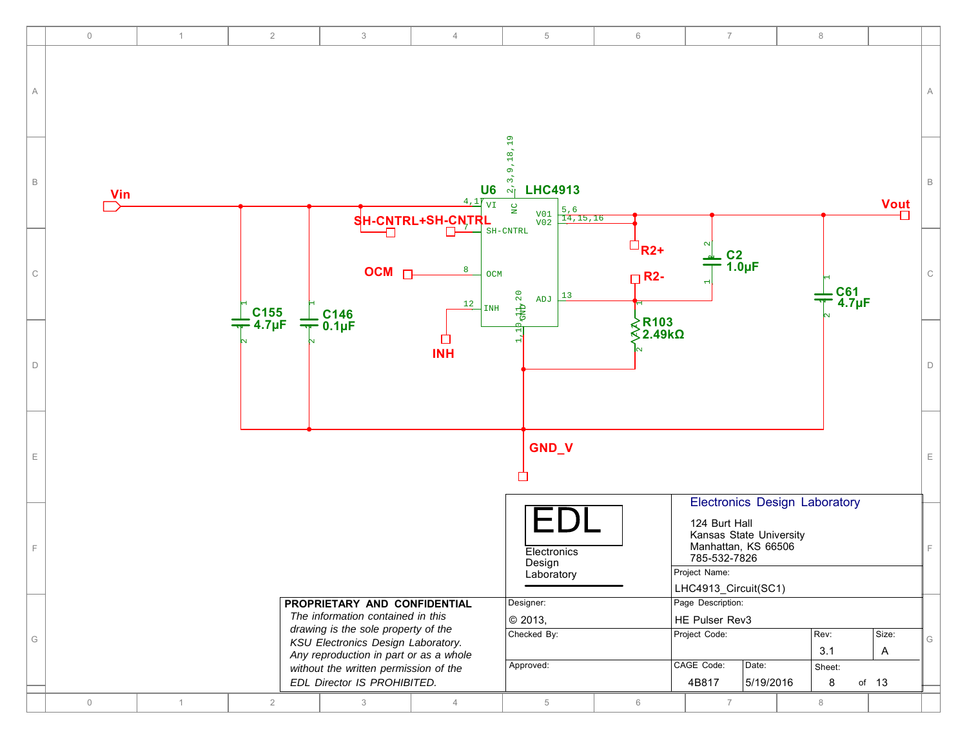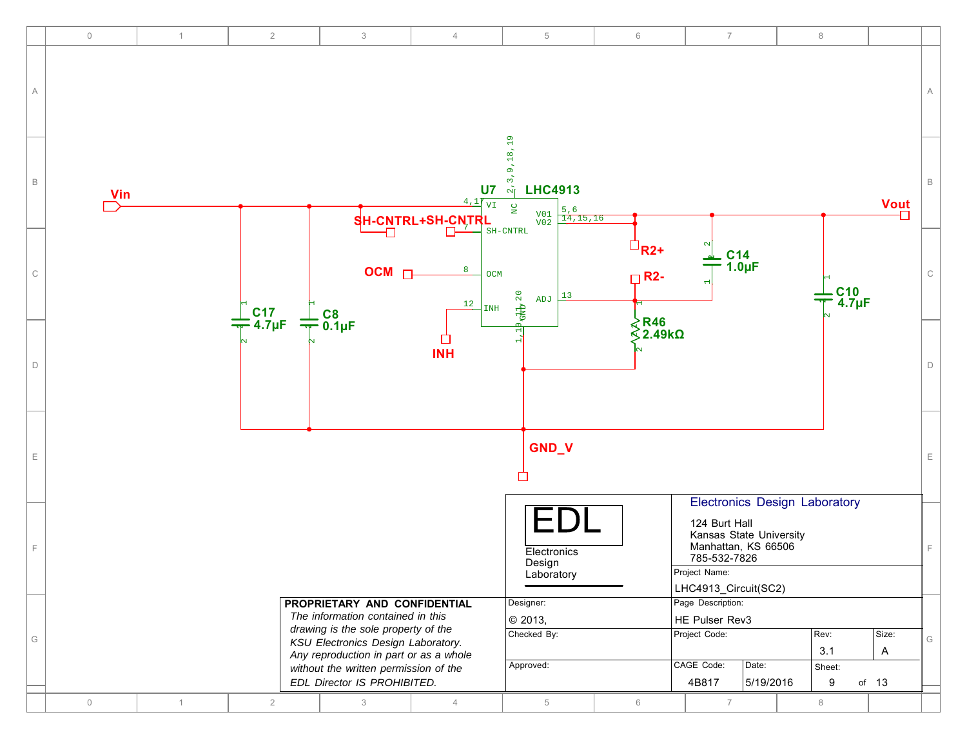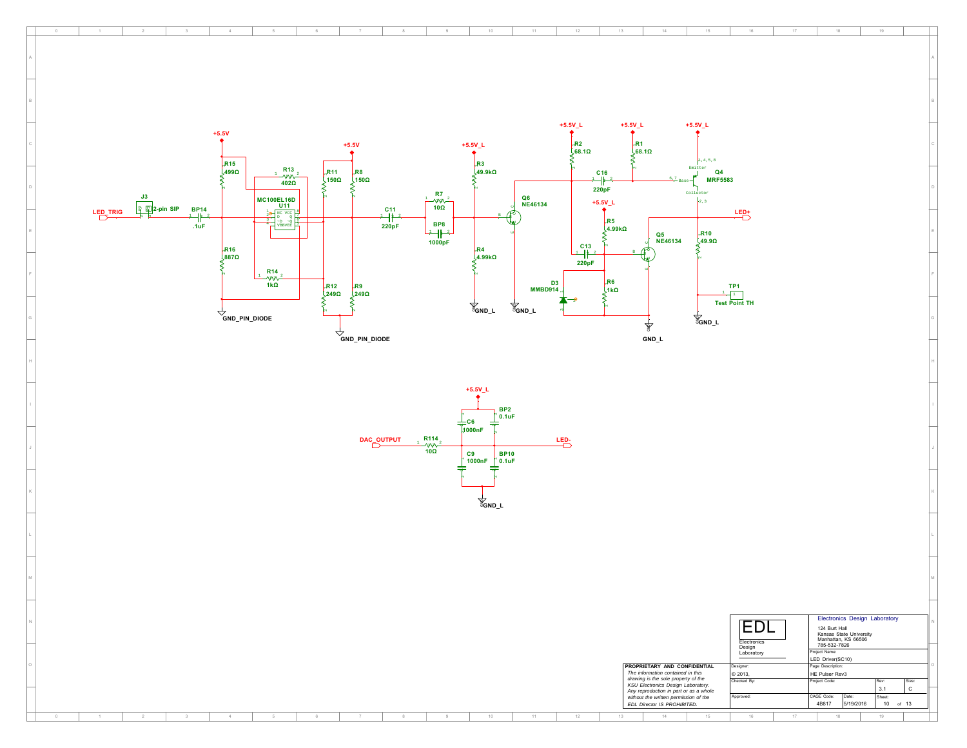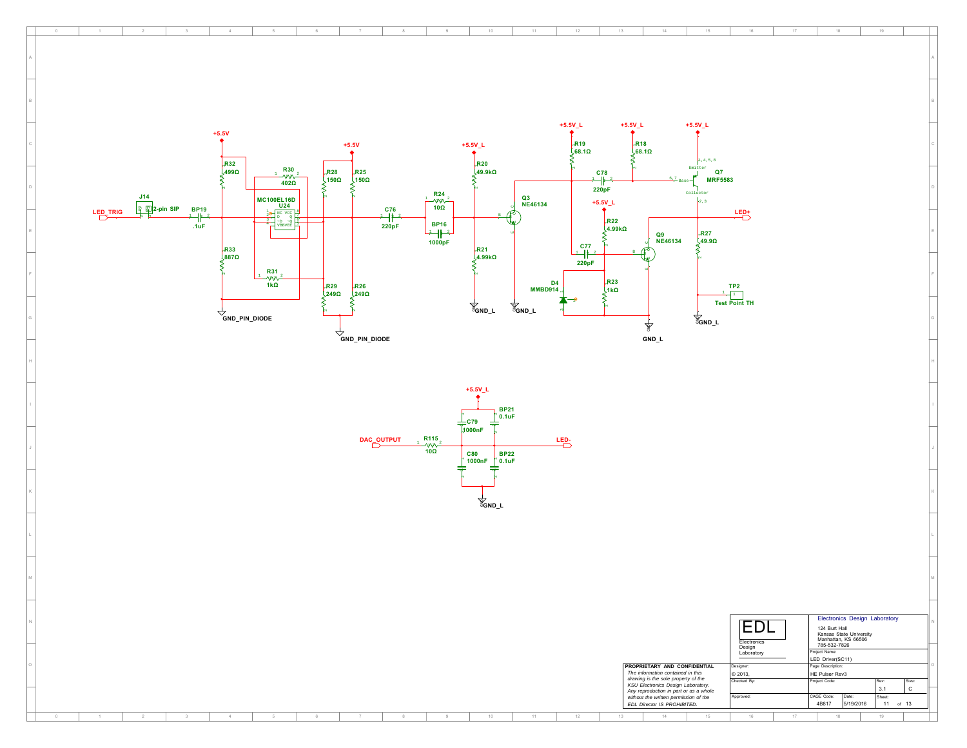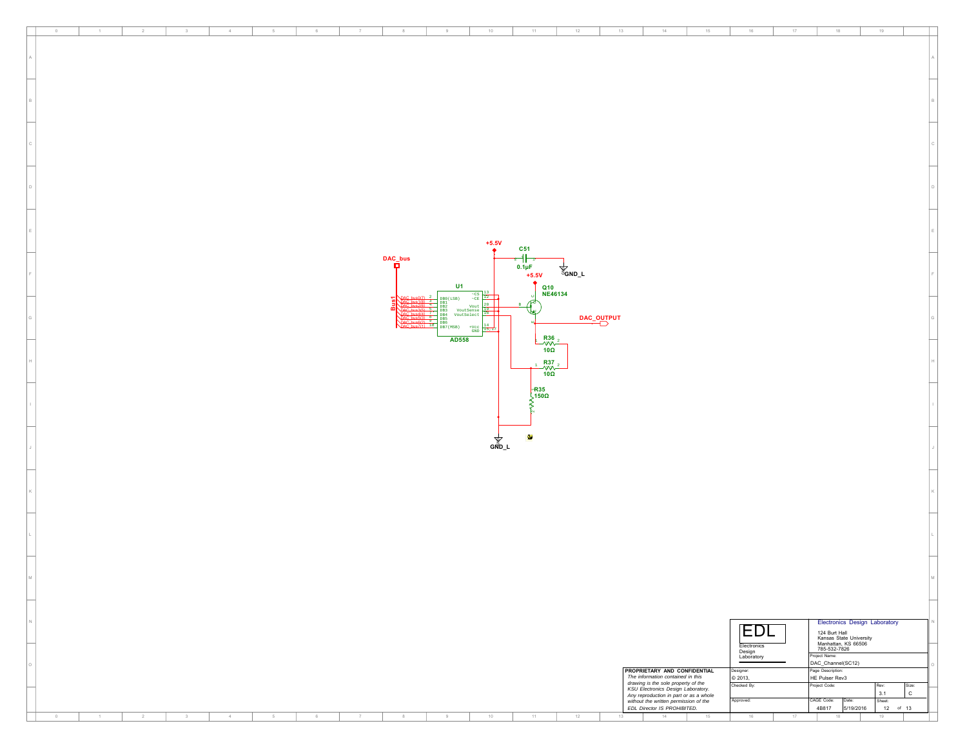| $\,$ 0 $\,$<br>$\mathbf{1}$ | $^{2}$         | $3 -$ | $4$ $\,$ | $5\phantom{.0}$ | $_{\rm 6}$ | $\tau$ | $^{\rm 8}$ | $9\,$                     | $10 -$                        | $11 -$                         | 12                | 13<br>$14 -$                                                                                                                                                 | 15 | 16                                  | $17-$ | 18                                                                              | 19                   |              |
|-----------------------------|----------------|-------|----------|-----------------|------------|--------|------------|---------------------------|-------------------------------|--------------------------------|-------------------|--------------------------------------------------------------------------------------------------------------------------------------------------------------|----|-------------------------------------|-------|---------------------------------------------------------------------------------|----------------------|--------------|
|                             |                |       |          |                 |            |        |            |                           |                               |                                |                   |                                                                                                                                                              |    |                                     |       |                                                                                 |                      |              |
|                             |                |       |          |                 |            |        |            |                           |                               |                                |                   |                                                                                                                                                              |    |                                     |       |                                                                                 |                      |              |
|                             |                |       |          |                 |            |        |            |                           |                               |                                |                   |                                                                                                                                                              |    |                                     |       |                                                                                 |                      |              |
|                             |                |       |          |                 |            |        |            |                           |                               |                                |                   |                                                                                                                                                              |    |                                     |       |                                                                                 |                      |              |
|                             |                |       |          |                 |            |        |            |                           |                               |                                |                   |                                                                                                                                                              |    |                                     |       |                                                                                 |                      |              |
|                             |                |       |          |                 |            |        |            |                           |                               |                                |                   |                                                                                                                                                              |    |                                     |       |                                                                                 |                      |              |
|                             |                |       |          |                 |            |        |            |                           |                               |                                |                   |                                                                                                                                                              |    |                                     |       |                                                                                 |                      |              |
|                             |                |       |          |                 |            |        |            |                           |                               |                                |                   |                                                                                                                                                              |    |                                     |       |                                                                                 |                      |              |
|                             |                |       |          |                 |            |        |            |                           |                               |                                |                   |                                                                                                                                                              |    |                                     |       |                                                                                 |                      |              |
|                             |                |       |          |                 |            |        |            |                           |                               |                                |                   |                                                                                                                                                              |    |                                     |       |                                                                                 |                      |              |
|                             |                |       |          |                 |            |        |            |                           |                               |                                |                   |                                                                                                                                                              |    |                                     |       |                                                                                 |                      |              |
|                             |                |       |          |                 |            |        |            |                           |                               |                                |                   |                                                                                                                                                              |    |                                     |       |                                                                                 |                      |              |
|                             |                |       |          |                 |            |        |            |                           |                               |                                |                   |                                                                                                                                                              |    |                                     |       |                                                                                 |                      |              |
|                             |                |       |          |                 |            |        |            |                           |                               |                                |                   |                                                                                                                                                              |    |                                     |       |                                                                                 |                      |              |
|                             |                |       |          |                 |            |        |            |                           |                               |                                |                   |                                                                                                                                                              |    |                                     |       |                                                                                 |                      |              |
|                             |                |       |          |                 |            |        |            |                           |                               |                                |                   |                                                                                                                                                              |    |                                     |       |                                                                                 |                      |              |
|                             |                |       |          |                 |            |        |            |                           |                               |                                |                   |                                                                                                                                                              |    |                                     |       |                                                                                 |                      |              |
|                             |                |       |          |                 |            |        |            |                           |                               |                                |                   |                                                                                                                                                              |    |                                     |       |                                                                                 |                      |              |
|                             |                |       |          |                 |            |        |            |                           | $+5.5V$                       | C51                            |                   |                                                                                                                                                              |    |                                     |       |                                                                                 |                      |              |
|                             |                |       |          |                 |            |        | DAC_bus    |                           |                               | ╍╢                             |                   |                                                                                                                                                              |    |                                     |       |                                                                                 |                      |              |
|                             |                |       |          |                 |            |        | о          |                           |                               | $0.1 \mu F$                    | <sup>ଞ</sup><br>କ |                                                                                                                                                              |    |                                     |       |                                                                                 |                      |              |
|                             |                |       |          |                 |            |        |            | U1                        |                               | $+5.5V$                        |                   |                                                                                                                                                              |    |                                     |       |                                                                                 |                      |              |
|                             |                |       |          |                 |            |        |            |                           | $-\frac{\text{cs}}{\text{c}}$ |                                | Q10<br>NE46134    |                                                                                                                                                              |    |                                     |       |                                                                                 |                      |              |
|                             |                |       |          |                 |            |        |            | DB0(LSB)<br>DB1.<br>DB2   | Vout                          | R                              |                   |                                                                                                                                                              |    |                                     |       |                                                                                 |                      |              |
|                             |                |       |          |                 |            |        |            | DB 3<br>VoutSelect<br>DB4 | <b>VoutSense</b>              | M.                             | DAC_OUTPUT        |                                                                                                                                                              |    |                                     |       |                                                                                 |                      |              |
|                             |                |       |          |                 |            |        |            | DB7 (MSB)                 | $+$ $Vcc$                     |                                |                   |                                                                                                                                                              |    |                                     |       |                                                                                 |                      |              |
|                             |                |       |          |                 |            |        |            | AD558                     |                               | $\frac{R36}{\sqrt{10}}$<br>100 |                   |                                                                                                                                                              |    |                                     |       |                                                                                 |                      |              |
|                             |                |       |          |                 |            |        |            |                           |                               |                                |                   |                                                                                                                                                              |    |                                     |       |                                                                                 |                      |              |
|                             |                |       |          |                 |            |        |            |                           |                               | R37                            |                   |                                                                                                                                                              |    |                                     |       |                                                                                 |                      |              |
|                             |                |       |          |                 |            |        |            |                           |                               | $\frac{1}{100}$                |                   |                                                                                                                                                              |    |                                     |       |                                                                                 |                      |              |
|                             |                |       |          |                 |            |        |            |                           |                               |                                |                   |                                                                                                                                                              |    |                                     |       |                                                                                 |                      |              |
|                             |                |       |          |                 |            |        |            |                           |                               | $R$ 35<br>150 $\Omega$         |                   |                                                                                                                                                              |    |                                     |       |                                                                                 |                      |              |
|                             |                |       |          |                 |            |        |            |                           |                               |                                |                   |                                                                                                                                                              |    |                                     |       |                                                                                 |                      |              |
|                             |                |       |          |                 |            |        |            |                           |                               |                                |                   |                                                                                                                                                              |    |                                     |       |                                                                                 |                      |              |
|                             |                |       |          |                 |            |        |            |                           |                               | W                              |                   |                                                                                                                                                              |    |                                     |       |                                                                                 |                      |              |
|                             |                |       |          |                 |            |        |            |                           | <b>GND_L</b><br>GND_L         |                                |                   |                                                                                                                                                              |    |                                     |       |                                                                                 |                      |              |
|                             |                |       |          |                 |            |        |            |                           |                               |                                |                   |                                                                                                                                                              |    |                                     |       |                                                                                 |                      |              |
|                             |                |       |          |                 |            |        |            |                           |                               |                                |                   |                                                                                                                                                              |    |                                     |       |                                                                                 |                      |              |
|                             |                |       |          |                 |            |        |            |                           |                               |                                |                   |                                                                                                                                                              |    |                                     |       |                                                                                 |                      |              |
|                             |                |       |          |                 |            |        |            |                           |                               |                                |                   |                                                                                                                                                              |    |                                     |       |                                                                                 |                      |              |
|                             |                |       |          |                 |            |        |            |                           |                               |                                |                   |                                                                                                                                                              |    |                                     |       |                                                                                 |                      |              |
|                             |                |       |          |                 |            |        |            |                           |                               |                                |                   |                                                                                                                                                              |    |                                     |       |                                                                                 |                      |              |
|                             |                |       |          |                 |            |        |            |                           |                               |                                |                   |                                                                                                                                                              |    |                                     |       |                                                                                 |                      |              |
|                             |                |       |          |                 |            |        |            |                           |                               |                                |                   |                                                                                                                                                              |    |                                     |       |                                                                                 |                      |              |
|                             |                |       |          |                 |            |        |            |                           |                               |                                |                   |                                                                                                                                                              |    |                                     |       |                                                                                 |                      |              |
|                             |                |       |          |                 |            |        |            |                           |                               |                                |                   |                                                                                                                                                              |    |                                     |       |                                                                                 |                      |              |
|                             |                |       |          |                 |            |        |            |                           |                               |                                |                   |                                                                                                                                                              |    |                                     |       |                                                                                 |                      |              |
|                             |                |       |          |                 |            |        |            |                           |                               |                                |                   |                                                                                                                                                              |    |                                     |       |                                                                                 |                      |              |
|                             |                |       |          |                 |            |        |            |                           |                               |                                |                   |                                                                                                                                                              |    |                                     |       |                                                                                 |                      |              |
|                             |                |       |          |                 |            |        |            |                           |                               |                                |                   |                                                                                                                                                              |    |                                     |       |                                                                                 |                      |              |
|                             |                |       |          |                 |            |        |            |                           |                               |                                |                   |                                                                                                                                                              |    |                                     |       | <b>Electronics Design Laboratory</b>                                            |                      |              |
|                             |                |       |          |                 |            |        |            |                           |                               |                                |                   |                                                                                                                                                              |    | EDL                                 |       |                                                                                 |                      |              |
|                             |                |       |          |                 |            |        |            |                           |                               |                                |                   |                                                                                                                                                              |    |                                     |       | 124 Burt Hall<br>Kansas State University<br>Manhattan, KS 66506<br>785-532-7826 |                      |              |
|                             |                |       |          |                 |            |        |            |                           |                               |                                |                   |                                                                                                                                                              |    | Electronics<br>Design<br>Laboratory |       | Project Name:                                                                   |                      |              |
|                             |                |       |          |                 |            |        |            |                           |                               |                                |                   | PROPRIETARY AND CONFIDENTIAL                                                                                                                                 |    | esigner:                            |       | DAC_Channel(SC12)<br>Page Description:                                          |                      |              |
|                             |                |       |          |                 |            |        |            |                           |                               |                                |                   | The information contained in this                                                                                                                            |    | © 2013,                             |       | HE Pulser Rev3                                                                  |                      |              |
|                             |                |       |          |                 |            |        |            |                           |                               |                                |                   | drawing is the sole property of the<br>KSU Electronics Design Laboratory.<br>Any reproduction in part or as a whole<br>without the written permission of the |    | Checked By:                         |       | Project Code:                                                                   | Size:<br>Rev:<br>3.1 | $\mathtt{C}$ |
|                             |                |       |          |                 |            |        |            |                           |                               |                                |                   | EDL Director IS PROHIBITED.                                                                                                                                  |    | Approved:                           |       | CAGE Code:<br>Date:<br>4B817 5/19/2016                                          | Sheet:<br>$12$ of 13 |              |
| $\sim$<br>$\mathbf{1}$      | $\overline{2}$ | 3     | $4$ .    | $5\phantom{.0}$ | $_{\rm 6}$ | $\tau$ | 8          | 9                         | 10                            | 11                             | $12\,$            | $14 -$<br>13                                                                                                                                                 | 15 | $16\,$                              | 17    | $18$                                                                            | 19                   |              |
|                             |                |       |          |                 |            |        |            |                           |                               |                                |                   |                                                                                                                                                              |    |                                     |       |                                                                                 |                      |              |